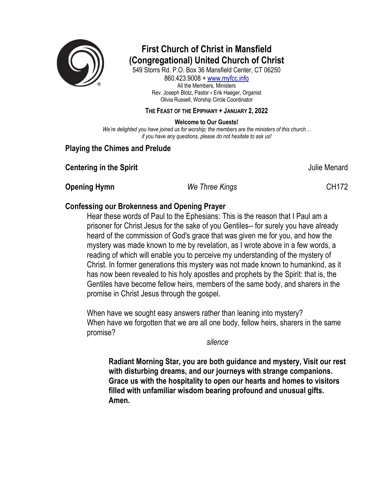

# **First Church of Christ in Mansfield (Congregational) United Church of Christ**

549 Storrs Rd. P.O. Box 36 Mansfield Center, CT 06250 860.423.9008 + www.myfcc.info All the Members, Ministers Rev. Joseph Blotz, Pastor + Erik Haeger, Organist Olivia Russell, Worship Circle Coordinator

**THE FEAST OF THE EPIPHANY + JANUARY 2, 2022**

**Welcome to Our Guests!**

*We're delighted you have joined us for worship; the members are the ministers of this church… if you have any questions, please do not hesitate to ask us!*

# **Playing the Chimes and Prelude**

**Centering in the Spirit Centering in the Spirit** Annual Account of the Menard Account of the Menard Account of the Menard

**Opening Hymn** *We Three Kings* **CH172** 

# **Confessing our Brokenness and Opening Prayer**

Hear these words of Paul to the Ephesians: This is the reason that I Paul am a prisoner for Christ Jesus for the sake of you Gentiles-- for surely you have already heard of the commission of God's grace that was given me for you, and how the mystery was made known to me by revelation, as I wrote above in a few words, a reading of which will enable you to perceive my understanding of the mystery of Christ. In former generations this mystery was not made known to humankind, as it has now been revealed to his holy apostles and prophets by the Spirit: that is, the Gentiles have become fellow heirs, members of the same body, and sharers in the promise in Christ Jesus through the gospel.

When have we sought easy answers rather than leaning into mystery? When have we forgotten that we are all one body, fellow heirs, sharers in the same promise?

*silence*

**Radiant Morning Star, you are both guidance and mystery, Visit our rest with disturbing dreams, and our journeys with strange companions. Grace us with the hospitality to open our hearts and homes to visitors filled with unfamiliar wisdom bearing profound and unusual gifts. Amen.**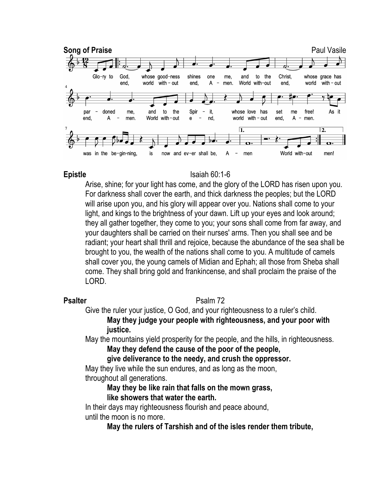

#### **Epistle** Isaiah 60:1-6

Arise, shine; for your light has come, and the glory of the LORD has risen upon you. For darkness shall cover the earth, and thick darkness the peoples; but the LORD will arise upon you, and his glory will appear over you. Nations shall come to your light, and kings to the brightness of your dawn. Lift up your eyes and look around; they all gather together, they come to you; your sons shall come from far away, and your daughters shall be carried on their nurses' arms. Then you shall see and be radiant; your heart shall thrill and rejoice, because the abundance of the sea shall be brought to you, the wealth of the nations shall come to you. A multitude of camels shall cover you, the young camels of Midian and Ephah; all those from Sheba shall come. They shall bring gold and frankincense, and shall proclaim the praise of the LORD.

### **Psalter** Psalm 72

Give the ruler your justice, O God, and your righteousness to a ruler's child. **May they judge your people with righteousness, and your poor with justice.**

May the mountains yield prosperity for the people, and the hills, in righteousness.

**May they defend the cause of the poor of the people,** 

**give deliverance to the needy, and crush the oppressor.**

May they live while the sun endures, and as long as the moon, throughout all generations.

### **May they be like rain that falls on the mown grass, like showers that water the earth.**

In their days may righteousness flourish and peace abound, until the moon is no more.

**May the rulers of Tarshish and of the isles render them tribute,**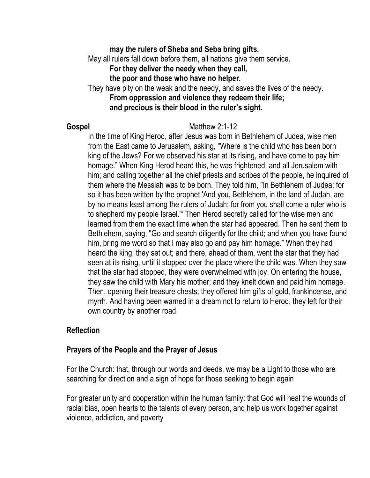# **may the rulers of Sheba and Seba bring gifts.**

May all rulers fall down before them, all nations give them service.

**For they deliver the needy when they call,** 

**the poor and those who have no helper.**

They have pity on the weak and the needy, and saves the lives of the needy. **From oppression and violence they redeem their life; and precious is their blood in the ruler's sight.**

#### **Gospel** Matthew 2:1-12

In the time of King Herod, after Jesus was born in Bethlehem of Judea, wise men from the East came to Jerusalem, asking, "Where is the child who has been born king of the Jews? For we observed his star at its rising, and have come to pay him homage." When King Herod heard this, he was frightened, and all Jerusalem with him; and calling together all the chief priests and scribes of the people, he inquired of them where the Messiah was to be born. They told him, "In Bethlehem of Judea; for so it has been written by the prophet 'And you, Bethlehem, in the land of Judah, are by no means least among the rulers of Judah; for from you shall come a ruler who is to shepherd my people Israel.'" Then Herod secretly called for the wise men and learned from them the exact time when the star had appeared. Then he sent them to Bethlehem, saying, "Go and search diligently for the child; and when you have found him, bring me word so that I may also go and pay him homage." When they had heard the king, they set out; and there, ahead of them, went the star that they had seen at its rising, until it stopped over the place where the child was. When they saw that the star had stopped, they were overwhelmed with joy. On entering the house, they saw the child with Mary his mother; and they knelt down and paid him homage. Then, opening their treasure chests, they offered him gifts of gold, frankincense, and myrrh. And having been warned in a dream not to return to Herod, they left for their own country by another road.

### **Reflection**

### **Prayers of the People and the Prayer of Jesus**

For the Church: that, through our words and deeds, we may be a Light to those who are searching for direction and a sign of hope for those seeking to begin again

For greater unity and cooperation within the human family: that God will heal the wounds of racial bias, open hearts to the talents of every person, and help us work together against violence, addiction, and poverty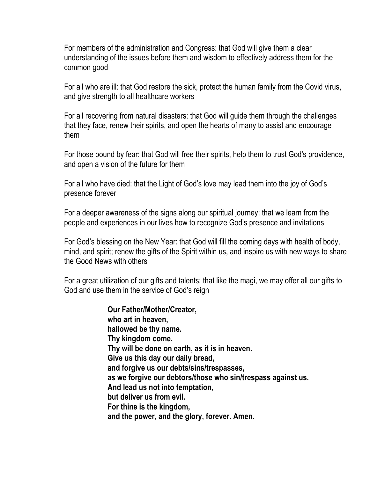For members of the administration and Congress: that God will give them a clear understanding of the issues before them and wisdom to effectively address them for the common good

For all who are ill: that God restore the sick, protect the human family from the Covid virus, and give strength to all healthcare workers

For all recovering from natural disasters: that God will guide them through the challenges that they face, renew their spirits, and open the hearts of many to assist and encourage them

For those bound by fear: that God will free their spirits, help them to trust God's providence, and open a vision of the future for them

For all who have died: that the Light of God's love may lead them into the joy of God's presence forever

For a deeper awareness of the signs along our spiritual journey: that we learn from the people and experiences in our lives how to recognize God's presence and invitations

For God's blessing on the New Year: that God will fill the coming days with health of body, mind, and spirit; renew the gifts of the Spirit within us, and inspire us with new ways to share the Good News with others

For a great utilization of our gifts and talents: that like the magi, we may offer all our gifts to God and use them in the service of God's reign

> **Our Father/Mother/Creator, who art in heaven, hallowed be thy name. Thy kingdom come. Thy will be done on earth, as it is in heaven. Give us this day our daily bread, and forgive us our debts/sins/trespasses, as we forgive our debtors/those who sin/trespass against us. And lead us not into temptation, but deliver us from evil. For thine is the kingdom, and the power, and the glory, forever. Amen.**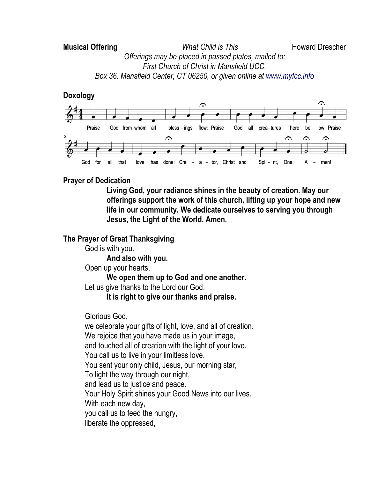# **Musical Offering** *What Child is This* **Howard Drescher** *Offerings may be placed in passed plates, mailed to: First Church of Christ in Mansfield UCC. Box 36. Mansfield Center, CT 06250, or given online at www.myfcc.info*

# **Doxology**



# **Prayer of Dedication**

**Living God, your radiance shines in the beauty of creation. May our offerings support the work of this church, lifting up your hope and new life in our community. We dedicate ourselves to serving you through Jesus, the Light of the World. Amen.**

# **The Prayer of Great Thanksgiving**

God is with you.

**And also with you.**

Open up your hearts.

**We open them up to God and one another.** Let us give thanks to the Lord our God.

**It is right to give our thanks and praise.**

Glorious God,

we celebrate your gifts of light, love, and all of creation. We rejoice that you have made us in your image, and touched all of creation with the light of your love. You call us to live in your limitless love. You sent your only child, Jesus, our morning star, To light the way through our night, and lead us to justice and peace. Your Holy Spirit shines your Good News into our lives. With each new day, you call us to feed the hungry, liberate the oppressed,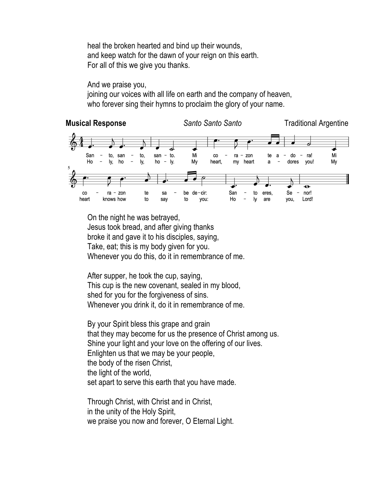heal the broken hearted and bind up their wounds, and keep watch for the dawn of your reign on this earth. For all of this we give you thanks.

And we praise you, joining our voices with all life on earth and the company of heaven, who forever sing their hymns to proclaim the glory of your name.



On the night he was betrayed, Jesus took bread, and after giving thanks broke it and gave it to his disciples, saying, Take, eat; this is my body given for you. Whenever you do this, do it in remembrance of me.

After supper, he took the cup, saying, This cup is the new covenant, sealed in my blood, shed for you for the forgiveness of sins. Whenever you drink it, do it in remembrance of me.

By your Spirit bless this grape and grain that they may become for us the presence of Christ among us. Shine your light and your love on the offering of our lives. Enlighten us that we may be your people, the body of the risen Christ, the light of the world, set apart to serve this earth that you have made.

Through Christ, with Christ and in Christ, in the unity of the Holy Spirit, we praise you now and forever, O Eternal Light.